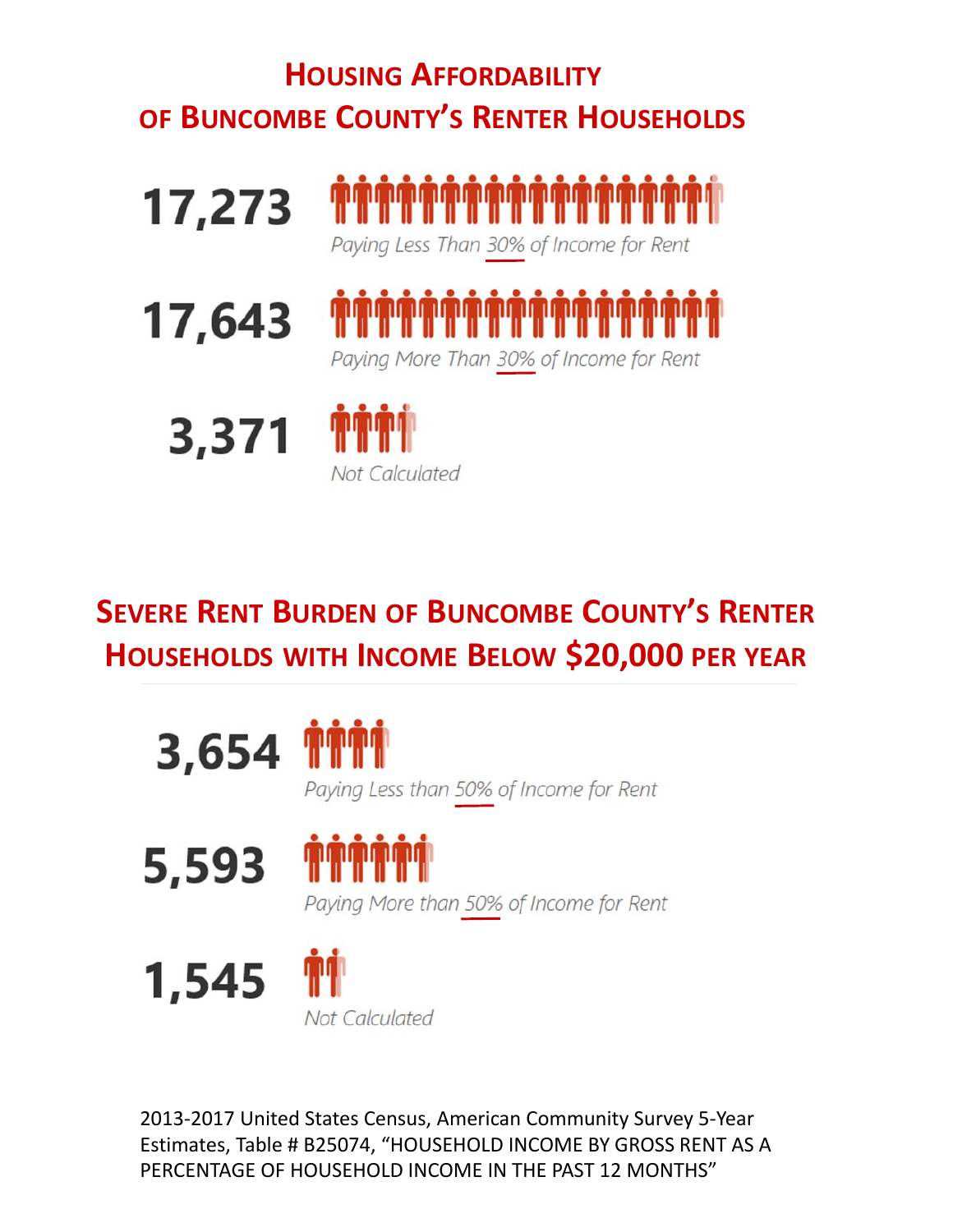## **HOUSING AFFORDABILITY OF BUNCOMBE COUNTY'S RENTER HOUSEHOLDS**



## **SEVERE RENT BURDEN OF BUNCOMBE COUNTY'S RENTER HOUSEHOLDS WITH INCOME BELOW \$20,000 PER YEAR**



2013-2017 United States Census, American Community Survey 5-Year Estimates, Table # B25074, "HOUSEHOLD INCOME BY GROSS RENT AS A PERCENTAGE OF HOUSEHOLD INCOME IN THE PAST 12 MONTHS"